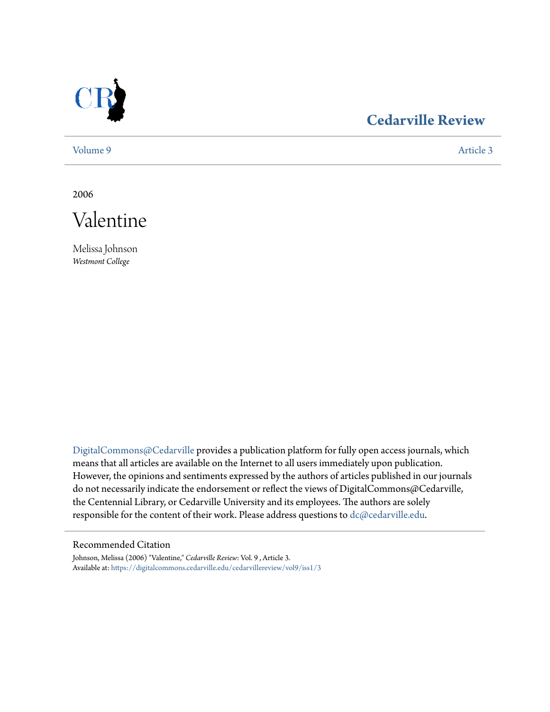

## **[Cedarville Review](https://digitalcommons.cedarville.edu/cedarvillereview?utm_source=digitalcommons.cedarville.edu%2Fcedarvillereview%2Fvol9%2Fiss1%2F3&utm_medium=PDF&utm_campaign=PDFCoverPages)**

[Volume 9](https://digitalcommons.cedarville.edu/cedarvillereview/vol9?utm_source=digitalcommons.cedarville.edu%2Fcedarvillereview%2Fvol9%2Fiss1%2F3&utm_medium=PDF&utm_campaign=PDFCoverPages) [Article 3](https://digitalcommons.cedarville.edu/cedarvillereview/vol9/iss1/3?utm_source=digitalcommons.cedarville.edu%2Fcedarvillereview%2Fvol9%2Fiss1%2F3&utm_medium=PDF&utm_campaign=PDFCoverPages)

2006



Melissa Johnson *Westmont College*

[DigitalCommons@Cedarville](http://digitalcommons.cedarville.edu) provides a publication platform for fully open access journals, which means that all articles are available on the Internet to all users immediately upon publication. However, the opinions and sentiments expressed by the authors of articles published in our journals do not necessarily indicate the endorsement or reflect the views of DigitalCommons@Cedarville, the Centennial Library, or Cedarville University and its employees. The authors are solely responsible for the content of their work. Please address questions to [dc@cedarville.edu](mailto:dc@cedarville.edu).

## Recommended Citation

Johnson, Melissa (2006) "Valentine," *Cedarville Review*: Vol. 9 , Article 3. Available at: [https://digitalcommons.cedarville.edu/cedarvillereview/vol9/iss1/3](https://digitalcommons.cedarville.edu/cedarvillereview/vol9/iss1/3?utm_source=digitalcommons.cedarville.edu%2Fcedarvillereview%2Fvol9%2Fiss1%2F3&utm_medium=PDF&utm_campaign=PDFCoverPages)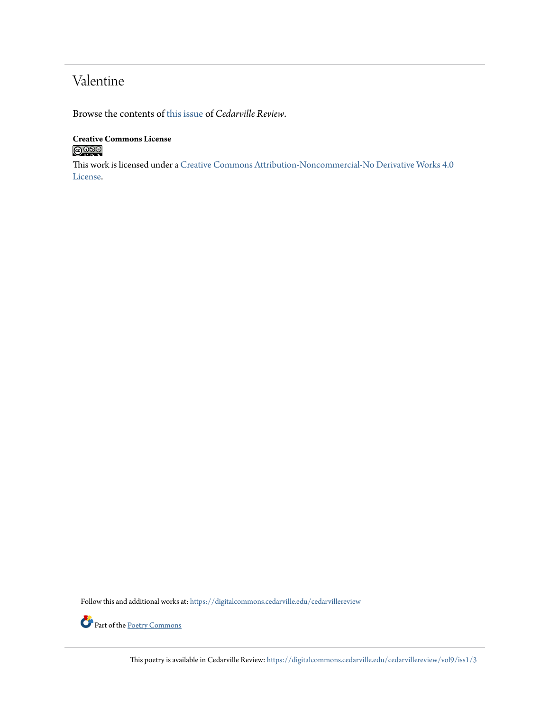## Valentine

Browse the contents of [this issue](https://digitalcommons.cedarville.edu/cedarvillereview/vol9/iss1) of *Cedarville Review*.

## **Creative Commons License**  $\bigcirc$  000

This work is licensed under a [Creative Commons Attribution-Noncommercial-No Derivative Works 4.0](http://creativecommons.org/licenses/by-nc-nd/4.0/) [License.](http://creativecommons.org/licenses/by-nc-nd/4.0/)

Follow this and additional works at: [https://digitalcommons.cedarville.edu/cedarvillereview](https://digitalcommons.cedarville.edu/cedarvillereview?utm_source=digitalcommons.cedarville.edu%2Fcedarvillereview%2Fvol9%2Fiss1%2F3&utm_medium=PDF&utm_campaign=PDFCoverPages)



This poetry is available in Cedarville Review: [https://digitalcommons.cedarville.edu/cedarvillereview/vol9/iss1/3](https://digitalcommons.cedarville.edu/cedarvillereview/vol9/iss1/3?utm_source=digitalcommons.cedarville.edu%2Fcedarvillereview%2Fvol9%2Fiss1%2F3&utm_medium=PDF&utm_campaign=PDFCoverPages)